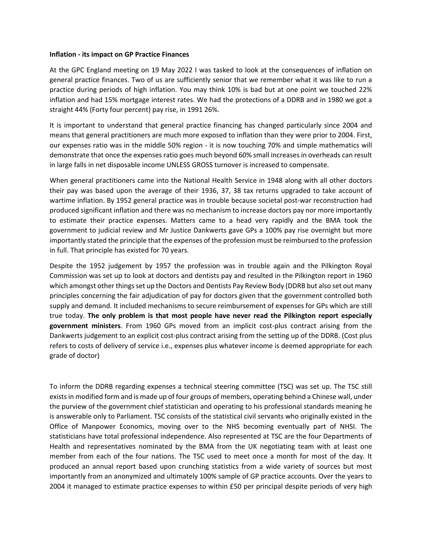## **Inflation - its impact on GP Practice Finances**

At the GPC England meeting on 19 May 2022 I was tasked to look at the consequences of inflation on general practice finances. Two of us are sufficiently senior that we remember what it was like to run a practice during periods of high inflation. You may think 10% is bad but at one point we touched 22% inflation and had 15% mortgage interest rates. We had the protections of a DDRB and in 1980 we got a straight 44% (Forty four percent) pay rise, in 1991 26%.

It is important to understand that general practice financing has changed particularly since 2004 and means that general practitioners are much more exposed to inflation than they were prior to 2004. First, our expenses ratio was in the middle 50% region - it is now touching 70% and simple mathematics will demonstrate that once the expenses ratio goes much beyond 60% small increases in overheads can result in large falls in net disposable income UNLESS GROSS turnover is increased to compensate.

When general practitioners came into the National Health Service in 1948 along with all other doctors their pay was based upon the average of their 1936, 37, 38 tax returns upgraded to take account of wartime inflation. By 1952 general practice was in trouble because societal post-war reconstruction had produced significant inflation and there was no mechanism to increase doctors pay nor more importantly to estimate their practice expenses. Matters came to a head very rapidly and the BMA took the government to judicial review and Mr Justice Dankwerts gave GPs a 100% pay rise overnight but more importantly stated the principle that the expenses of the profession must be reimbursed to the profession in full. That principle has existed for 70 years.

Despite the 1952 judgement by 1957 the profession was in trouble again and the Pilkington Royal Commission was set up to look at doctors and dentists pay and resulted in the Pilkington report in 1960 which amongst other things set up the Doctors and Dentists Pay Review Body (DDRB but also set out many principles concerning the fair adjudication of pay for doctors given that the government controlled both supply and demand. It included mechanisms to secure reimbursement of expenses for GPs which are still true today. **The only problem is that most people have never read the Pilkington report especially government ministers**. From 1960 GPs moved from an implicit cost-plus contract arising from the Dankwerts judgement to an explicit cost-plus contract arising from the setting up of the DDRB. (Cost plus refers to costs of delivery of service i.e., expenses plus whatever income is deemed appropriate for each grade of doctor)

To inform the DDRB regarding expenses a technical steering committee (TSC) was set up. The TSC still exists in modified form and is made up of four groups of members, operating behind a Chinese wall, under the purview of the government chief statistician and operating to his professional standards meaning he is answerable only to Parliament. TSC consists of the statistical civil servants who originally existed in the Office of Manpower Economics, moving over to the NHS becoming eventually part of NHSI. The statisticians have total professional independence. Also represented at TSC are the four Departments of Health and representatives nominated by the BMA from the UK negotiating team with at least one member from each of the four nations. The TSC used to meet once a month for most of the day. It produced an annual report based upon crunching statistics from a wide variety of sources but most importantly from an anonymized and ultimately 100% sample of GP practice accounts. Over the years to 2004 it managed to estimate practice expenses to within £50 per principal despite periods of very high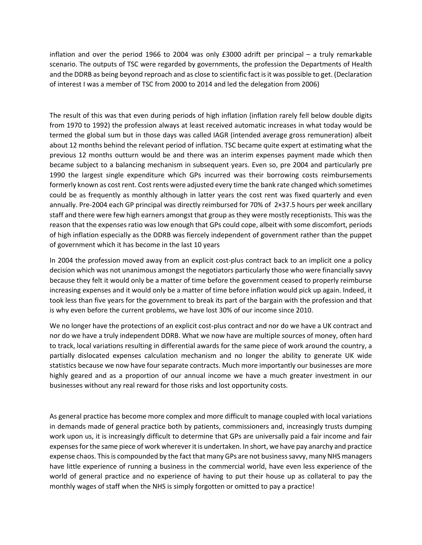inflation and over the period 1966 to 2004 was only £3000 adrift per principal – a truly remarkable scenario. The outputs of TSC were regarded by governments, the profession the Departments of Health and the DDRB as being beyond reproach and as close to scientific fact is it was possible to get. (Declaration of interest I was a member of TSC from 2000 to 2014 and led the delegation from 2006)

The result of this was that even during periods of high inflation (inflation rarely fell below double digits from 1970 to 1992) the profession always at least received automatic increases in what today would be termed the global sum but in those days was called IAGR (intended average gross remuneration) albeit about 12 months behind the relevant period of inflation. TSC became quite expert at estimating what the previous 12 months outturn would be and there was an interim expenses payment made which then became subject to a balancing mechanism in subsequent years. Even so, pre 2004 and particularly pre 1990 the largest single expenditure which GPs incurred was their borrowing costs reimbursements formerly known as cost rent. Cost rents were adjusted every time the bank rate changed which sometimes could be as frequently as monthly although in latter years the cost rent was fixed quarterly and even annually. Pre-2004 each GP principal was directly reimbursed for 70% of 2×37.5 hours per week ancillary staff and there were few high earners amongst that group as they were mostly receptionists. This was the reason that the expenses ratio was low enough that GPs could cope, albeit with some discomfort, periods of high inflation especially as the DDRB was fiercely independent of government rather than the puppet of government which it has become in the last 10 years

In 2004 the profession moved away from an explicit cost-plus contract back to an implicit one a policy decision which was not unanimous amongst the negotiators particularly those who were financially savvy because they felt it would only be a matter of time before the government ceased to properly reimburse increasing expenses and it would only be a matter of time before inflation would pick up again. Indeed, it took less than five years for the government to break its part of the bargain with the profession and that is why even before the current problems, we have lost 30% of our income since 2010.

We no longer have the protections of an explicit cost-plus contract and nor do we have a UK contract and nor do we have a truly independent DDRB. What we now have are multiple sources of money, often hard to track, local variations resulting in differential awards for the same piece of work around the country, a partially dislocated expenses calculation mechanism and no longer the ability to generate UK wide statistics because we now have four separate contracts. Much more importantly our businesses are more highly geared and as a proportion of our annual income we have a much greater investment in our businesses without any real reward for those risks and lost opportunity costs.

As general practice has become more complex and more difficult to manage coupled with local variations in demands made of general practice both by patients, commissioners and, increasingly trusts dumping work upon us, it is increasingly difficult to determine that GPs are universally paid a fair income and fair expenses for the same piece of work wherever it is undertaken. In short, we have pay anarchy and practice expense chaos. This is compounded by the fact that many GPs are not business savvy, many NHS managers have little experience of running a business in the commercial world, have even less experience of the world of general practice and no experience of having to put their house up as collateral to pay the monthly wages of staff when the NHS is simply forgotten or omitted to pay a practice!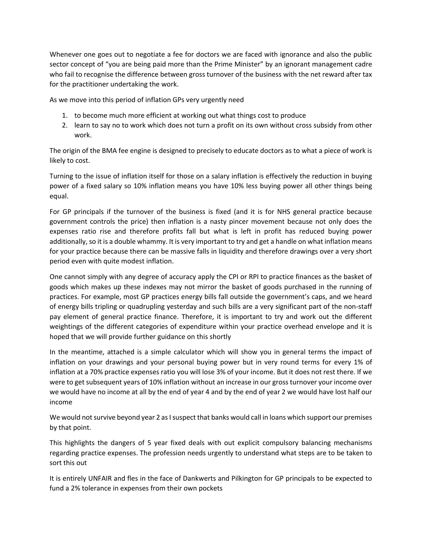Whenever one goes out to negotiate a fee for doctors we are faced with ignorance and also the public sector concept of "you are being paid more than the Prime Minister" by an ignorant management cadre who fail to recognise the difference between gross turnover of the business with the net reward after tax for the practitioner undertaking the work.

As we move into this period of inflation GPs very urgently need

- 1. to become much more efficient at working out what things cost to produce
- 2. learn to say no to work which does not turn a profit on its own without cross subsidy from other work.

The origin of the BMA fee engine is designed to precisely to educate doctors as to what a piece of work is likely to cost.

Turning to the issue of inflation itself for those on a salary inflation is effectively the reduction in buying power of a fixed salary so 10% inflation means you have 10% less buying power all other things being equal.

For GP principals if the turnover of the business is fixed (and it is for NHS general practice because government controls the price) then inflation is a nasty pincer movement because not only does the expenses ratio rise and therefore profits fall but what is left in profit has reduced buying power additionally, so it is a double whammy. It is very important to try and get a handle on what inflation means for your practice because there can be massive falls in liquidity and therefore drawings over a very short period even with quite modest inflation.

One cannot simply with any degree of accuracy apply the CPI or RPI to practice finances as the basket of goods which makes up these indexes may not mirror the basket of goods purchased in the running of practices. For example, most GP practices energy bills fall outside the government's caps, and we heard of energy bills tripling or quadrupling yesterday and such bills are a very significant part of the non-staff pay element of general practice finance. Therefore, it is important to try and work out the different weightings of the different categories of expenditure within your practice overhead envelope and it is hoped that we will provide further guidance on this shortly

In the meantime, attached is a simple calculator which will show you in general terms the impact of inflation on your drawings and your personal buying power but in very round terms for every 1% of inflation at a 70% practice expenses ratio you will lose 3% of your income. But it does not rest there. If we were to get subsequent years of 10% inflation without an increase in our gross turnover your income over we would have no income at all by the end of year 4 and by the end of year 2 we would have lost half our income

We would not survive beyond year 2 as I suspect that banks would call in loans which support our premises by that point.

This highlights the dangers of 5 year fixed deals with out explicit compulsory balancing mechanisms regarding practice expenses. The profession needs urgently to understand what steps are to be taken to sort this out

It is entirely UNFAIR and fles in the face of Dankwerts and Pilkington for GP principals to be expected to fund a 2% tolerance in expenses from their own pockets